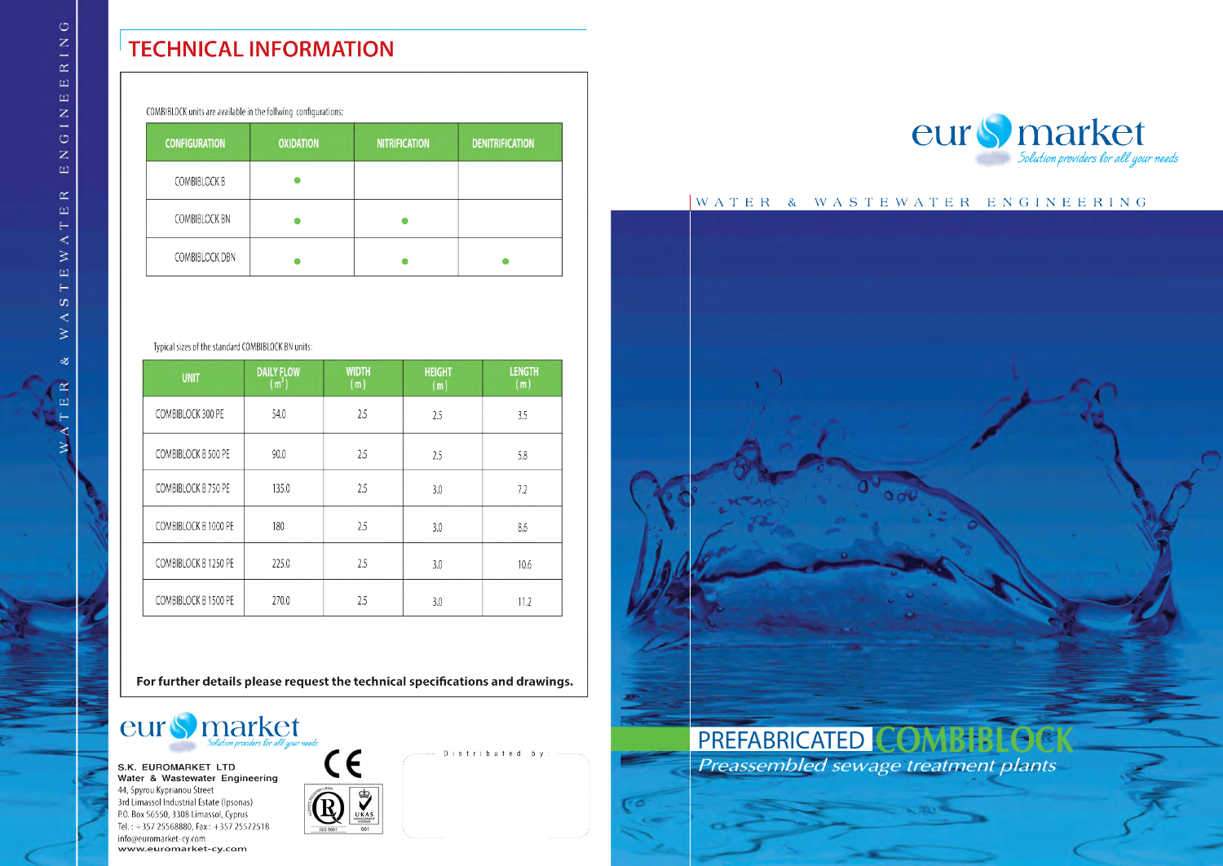## **TECHNICAL INFORMATION**

| COMBIBLOCK units are available in the follwing configurations: |                  |                      |                        |  |  |  |
|----------------------------------------------------------------|------------------|----------------------|------------------------|--|--|--|
| <b>CONFIGURATION</b>                                           | <b>OXIDATION</b> | <b>NITRIFICATION</b> | <b>DENITRIFICATION</b> |  |  |  |
| <b>COMBIBLOCK B</b>                                            |                  |                      |                        |  |  |  |
| <b>COMBIBLOCK BN</b>                                           |                  |                      |                        |  |  |  |
| <b>COMBIBLOCK DBN</b>                                          |                  |                      |                        |  |  |  |

### Typical sizes of the standard COMBIBLOCK BN units:

| <b>UNIT</b>          | <b>DAILY FLOW</b><br>(m <sup>3</sup> ) | <b>WIDTH</b><br>(m) | <b>HEIGHT</b><br>(m) | <b>LENGTH</b><br>(m) |
|----------------------|----------------------------------------|---------------------|----------------------|----------------------|
| COMBIBLOCK 300 PE    | 54.0                                   | 2.5                 | 2.5                  | 3.5                  |
| COMBIBLOCK B 500 PE  | 90.0                                   | 2.5                 | 2.5                  | 5.8                  |
| COMBIBLOCK B 750 PE  | 135.0                                  | 2.5                 | 3.0                  | 7.2                  |
| COMBIBLOCK B 1000 PE | 180                                    | 2.5                 | 3.0                  | 8.6                  |
| COMBIBLOCK B 1250 PE | 225.0                                  | 2.5                 | 3.0                  | 10.6                 |
| COMBIBLOCK B 1500 PE | 270.0                                  | 2.5                 | 3.0                  | 11.2                 |

For further details please request the technical specifications and drawings.



S.K. EUROMARKET LTD Water & Wastewater Engineering 44, Spyrou Kyprianou Street 3rd Limassol Industrial Estate (Ipsonas) P.O. Box 56550, 3308 Limassol, Cyprus Tel.: +357 25568880, Fax: +357 25572518 info@euromarket-cy.com www.euromarket-cy.com







## WATER & WASTEWATER ENGINEERING